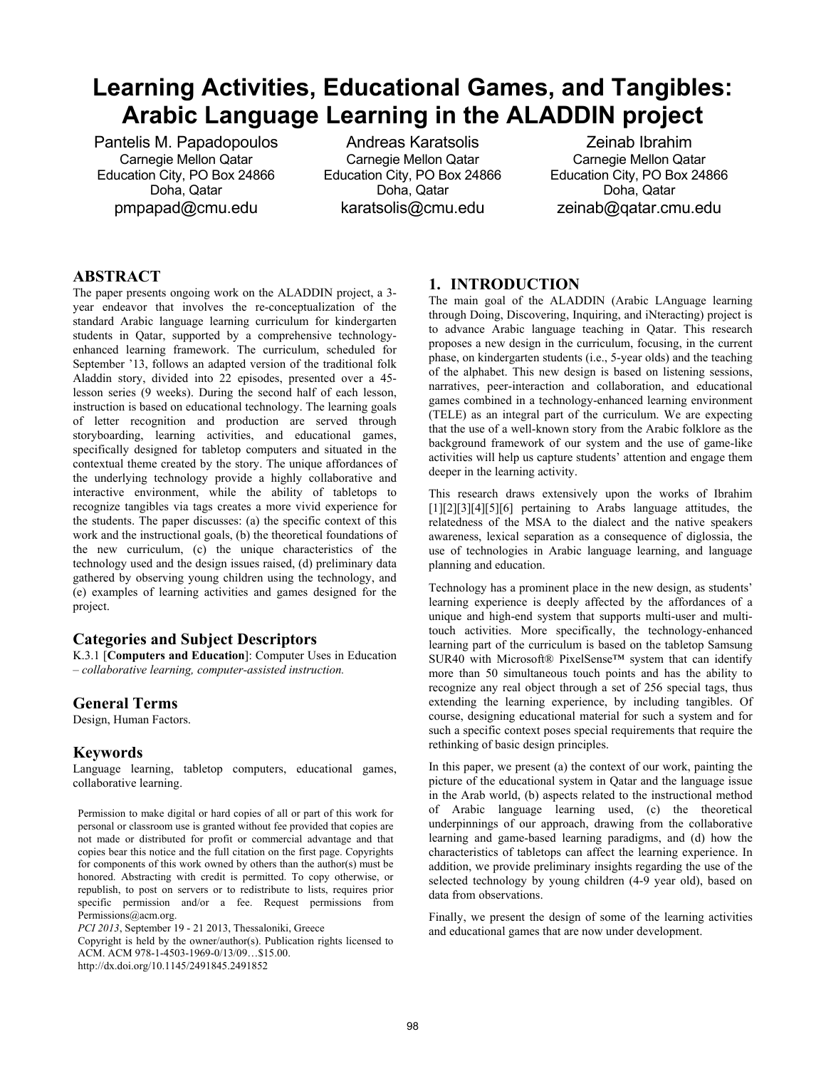# **Learning Activities, Educational Games, and Tangibles: Arabic Language Learning in the ALADDIN project**

Pantelis M. Papadopoulos Carnegie Mellon Qatar Education City, PO Box 24866 Doha, Qatar pmpapad@cmu.edu

Andreas Karatsolis Carnegie Mellon Qatar Education City, PO Box 24866 Doha, Qatar karatsolis@cmu.edu

Zeinab Ibrahim Carnegie Mellon Qatar Education City, PO Box 24866 Doha, Qatar zeinab@qatar.cmu.edu

# **ABSTRACT**

The paper presents ongoing work on the ALADDIN project, a 3 year endeavor that involves the re-conceptualization of the standard Arabic language learning curriculum for kindergarten students in Qatar, supported by a comprehensive technologyenhanced learning framework. The curriculum, scheduled for September '13, follows an adapted version of the traditional folk Aladdin story, divided into 22 episodes, presented over a 45 lesson series (9 weeks). During the second half of each lesson, instruction is based on educational technology. The learning goals of letter recognition and production are served through storyboarding, learning activities, and educational games, specifically designed for tabletop computers and situated in the contextual theme created by the story. The unique affordances of the underlying technology provide a highly collaborative and interactive environment, while the ability of tabletops to recognize tangibles via tags creates a more vivid experience for the students. The paper discusses: (a) the specific context of this work and the instructional goals, (b) the theoretical foundations of the new curriculum, (c) the unique characteristics of the technology used and the design issues raised, (d) preliminary data gathered by observing young children using the technology, and (e) examples of learning activities and games designed for the project.

# **Categories and Subject Descriptors**

K.3.1 [**Computers and Education**]: Computer Uses in Education – *collaborative learning, computer-assisted instruction.* 

## **General Terms**

Design, Human Factors.

## **Keywords**

Language learning, tabletop computers, educational games, collaborative learning.

Permission to make digital or hard copies of all or part of this work for personal or classroom use is granted without fee provided that copies are not made or distributed for profit or commercial advantage and that copies bear this notice and the full citation on the first page. Copyrights for components of this work owned by others than the author(s) must be honored. Abstracting with credit is permitted. To copy otherwise, or republish, to post on servers or to redistribute to lists, requires prior specific permission and/or a fee. Request permissions from Permissions@acm.org.

*PCI 2013*, September 19 - 21 2013, Thessaloniki, Greece Copyright is held by the owner/author(s). Publication rights licensed to ACM. ACM 978-1-4503-1969-0/13/09…\$15.00. http://dx.doi.org/10.1145/2491845.2491852

## **1. INTRODUCTION**

The main goal of the ALADDIN (Arabic LAnguage learning through Doing, Discovering, Inquiring, and iNteracting) project is to advance Arabic language teaching in Qatar. This research proposes a new design in the curriculum, focusing, in the current phase, on kindergarten students (i.e., 5-year olds) and the teaching of the alphabet. This new design is based on listening sessions, narratives, peer-interaction and collaboration, and educational games combined in a technology-enhanced learning environment (TELE) as an integral part of the curriculum. We are expecting that the use of a well-known story from the Arabic folklore as the background framework of our system and the use of game-like activities will help us capture students' attention and engage them deeper in the learning activity.

This research draws extensively upon the works of Ibrahim [1][2][3][4][5][6] pertaining to Arabs language attitudes, the relatedness of the MSA to the dialect and the native speakers awareness, lexical separation as a consequence of diglossia, the use of technologies in Arabic language learning, and language planning and education.

Technology has a prominent place in the new design, as students' learning experience is deeply affected by the affordances of a unique and high-end system that supports multi-user and multitouch activities. More specifically, the technology-enhanced learning part of the curriculum is based on the tabletop Samsung SUR40 with Microsoft® PixelSense™ system that can identify more than 50 simultaneous touch points and has the ability to recognize any real object through a set of 256 special tags, thus extending the learning experience, by including tangibles. Of course, designing educational material for such a system and for such a specific context poses special requirements that require the rethinking of basic design principles.

In this paper, we present (a) the context of our work, painting the picture of the educational system in Qatar and the language issue in the Arab world, (b) aspects related to the instructional method of Arabic language learning used, (c) the theoretical underpinnings of our approach, drawing from the collaborative learning and game-based learning paradigms, and (d) how the characteristics of tabletops can affect the learning experience. In addition, we provide preliminary insights regarding the use of the selected technology by young children (4-9 year old), based on data from observations.

Finally, we present the design of some of the learning activities and educational games that are now under development.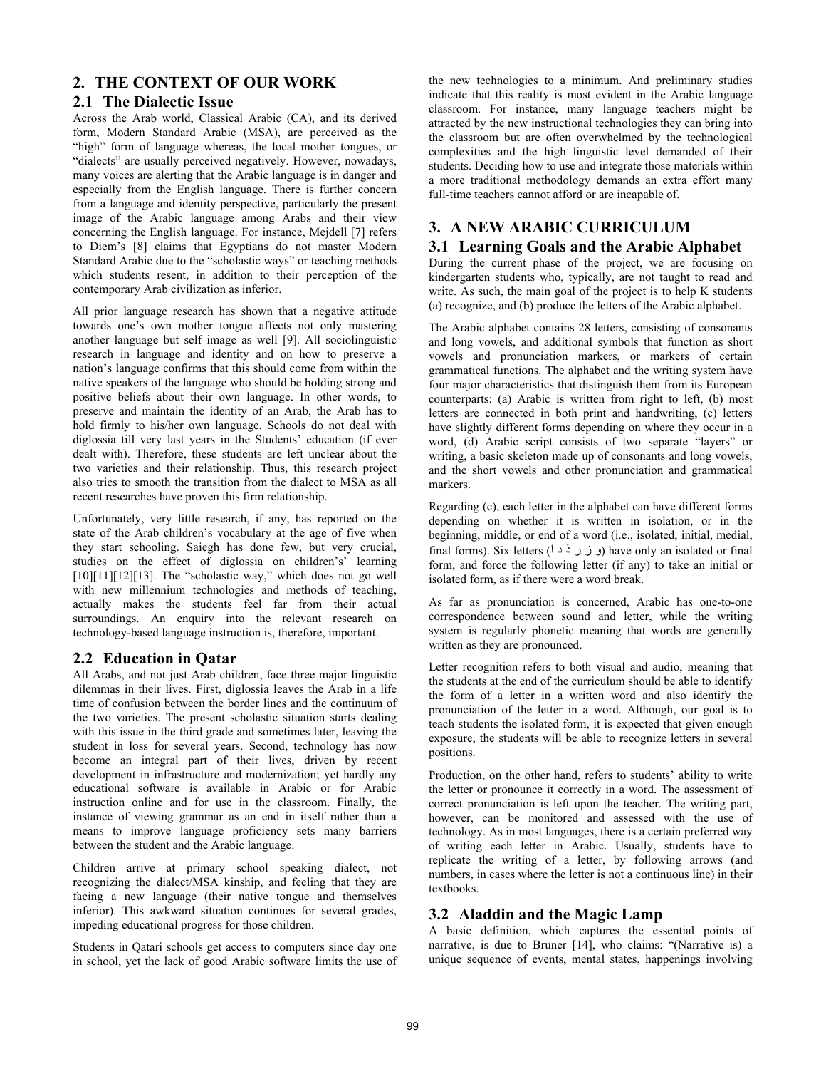# **2. THE CONTEXT OF OUR WORK**

## **2.1 The Dialectic Issue**

Across the Arab world, Classical Arabic (CA), and its derived form, Modern Standard Arabic (MSA), are perceived as the "high" form of language whereas, the local mother tongues, or "dialects" are usually perceived negatively. However, nowadays, many voices are alerting that the Arabic language is in danger and especially from the English language. There is further concern from a language and identity perspective, particularly the present image of the Arabic language among Arabs and their view concerning the English language. For instance, Mejdell [7] refers to Diem's [8] claims that Egyptians do not master Modern Standard Arabic due to the "scholastic ways" or teaching methods which students resent, in addition to their perception of the contemporary Arab civilization as inferior.

All prior language research has shown that a negative attitude towards one's own mother tongue affects not only mastering another language but self image as well [9]. All sociolinguistic research in language and identity and on how to preserve a nation's language confirms that this should come from within the native speakers of the language who should be holding strong and positive beliefs about their own language. In other words, to preserve and maintain the identity of an Arab, the Arab has to hold firmly to his/her own language. Schools do not deal with diglossia till very last years in the Students' education (if ever dealt with). Therefore, these students are left unclear about the two varieties and their relationship. Thus, this research project also tries to smooth the transition from the dialect to MSA as all recent researches have proven this firm relationship.

Unfortunately, very little research, if any, has reported on the state of the Arab children's vocabulary at the age of five when they start schooling. Saiegh has done few, but very crucial, studies on the effect of diglossia on children's' learning [10][11][12][13]. The "scholastic way," which does not go well with new millennium technologies and methods of teaching, actually makes the students feel far from their actual surroundings. An enquiry into the relevant research on technology-based language instruction is, therefore, important.

## **2.2 Education in Qatar**

All Arabs, and not just Arab children, face three major linguistic dilemmas in their lives. First, diglossia leaves the Arab in a life time of confusion between the border lines and the continuum of the two varieties. The present scholastic situation starts dealing with this issue in the third grade and sometimes later, leaving the student in loss for several years. Second, technology has now become an integral part of their lives, driven by recent development in infrastructure and modernization; yet hardly any educational software is available in Arabic or for Arabic instruction online and for use in the classroom. Finally, the instance of viewing grammar as an end in itself rather than a means to improve language proficiency sets many barriers between the student and the Arabic language.

Children arrive at primary school speaking dialect, not recognizing the dialect/MSA kinship, and feeling that they are facing a new language (their native tongue and themselves inferior). This awkward situation continues for several grades, impeding educational progress for those children.

Students in Qatari schools get access to computers since day one in school, yet the lack of good Arabic software limits the use of the new technologies to a minimum. And preliminary studies indicate that this reality is most evident in the Arabic language classroom. For instance, many language teachers might be attracted by the new instructional technologies they can bring into the classroom but are often overwhelmed by the technological complexities and the high linguistic level demanded of their students. Deciding how to use and integrate those materials within a more traditional methodology demands an extra effort many full-time teachers cannot afford or are incapable of.

# **3. A NEW ARABIC CURRICULUM**

#### **3.1 Learning Goals and the Arabic Alphabet**

During the current phase of the project, we are focusing on kindergarten students who, typically, are not taught to read and write. As such, the main goal of the project is to help K students (a) recognize, and (b) produce the letters of the Arabic alphabet.

The Arabic alphabet contains 28 letters, consisting of consonants and long vowels, and additional symbols that function as short vowels and pronunciation markers, or markers of certain grammatical functions. The alphabet and the writing system have four major characteristics that distinguish them from its European counterparts: (a) Arabic is written from right to left, (b) most letters are connected in both print and handwriting, (c) letters have slightly different forms depending on where they occur in a word, (d) Arabic script consists of two separate "layers" or writing, a basic skeleton made up of consonants and long vowels, and the short vowels and other pronunciation and grammatical markers.

Regarding (c), each letter in the alphabet can have different forms depending on whether it is written in isolation, or in the beginning, middle, or end of a word (i.e., isolated, initial, medial, final forms). Six letters (و ز ر ذ د ا) have only an isolated or final form, and force the following letter (if any) to take an initial or isolated form, as if there were a word break.

As far as pronunciation is concerned, Arabic has one-to-one correspondence between sound and letter, while the writing system is regularly phonetic meaning that words are generally written as they are pronounced.

Letter recognition refers to both visual and audio, meaning that the students at the end of the curriculum should be able to identify the form of a letter in a written word and also identify the pronunciation of the letter in a word. Although, our goal is to teach students the isolated form, it is expected that given enough exposure, the students will be able to recognize letters in several positions.

Production, on the other hand, refers to students' ability to write the letter or pronounce it correctly in a word. The assessment of correct pronunciation is left upon the teacher. The writing part, however, can be monitored and assessed with the use of technology. As in most languages, there is a certain preferred way of writing each letter in Arabic. Usually, students have to replicate the writing of a letter, by following arrows (and numbers, in cases where the letter is not a continuous line) in their textbooks.

## **3.2 Aladdin and the Magic Lamp**

A basic definition, which captures the essential points of narrative, is due to Bruner [14], who claims: "(Narrative is) a unique sequence of events, mental states, happenings involving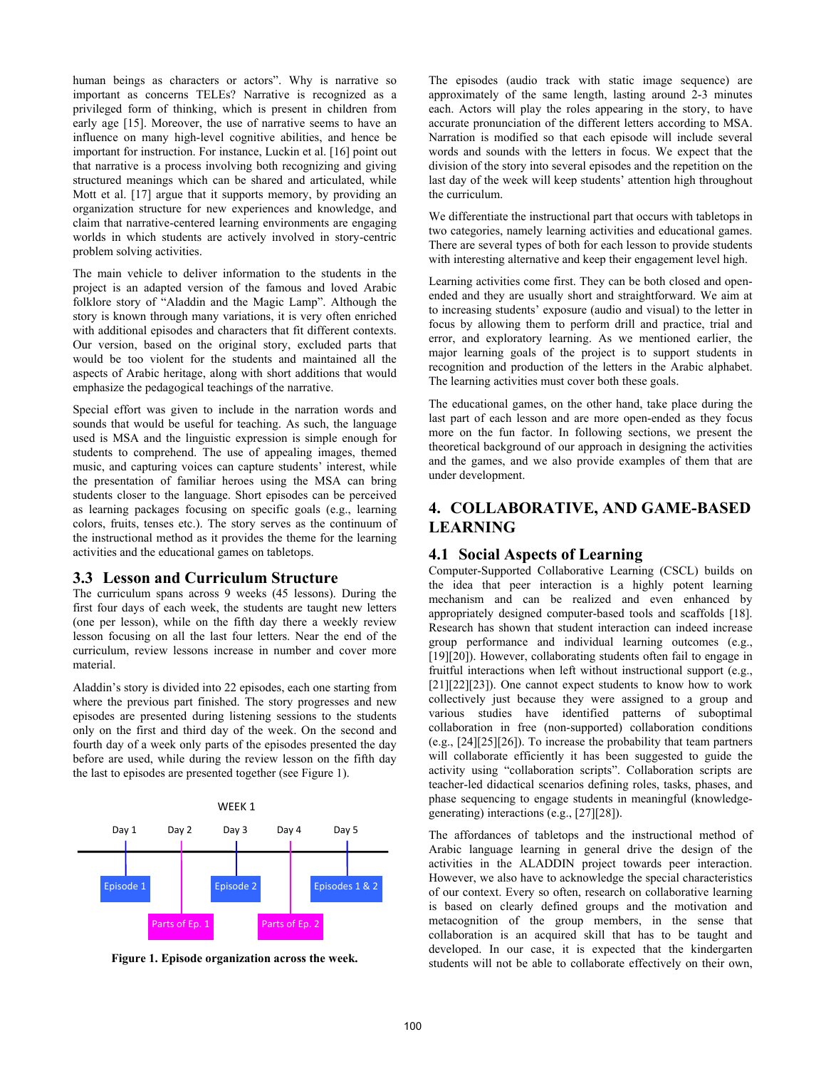human beings as characters or actors". Why is narrative so important as concerns TELEs? Narrative is recognized as a privileged form of thinking, which is present in children from early age [15]. Moreover, the use of narrative seems to have an influence on many high-level cognitive abilities, and hence be important for instruction. For instance, Luckin et al. [16] point out that narrative is a process involving both recognizing and giving structured meanings which can be shared and articulated, while Mott et al. [17] argue that it supports memory, by providing an organization structure for new experiences and knowledge, and claim that narrative-centered learning environments are engaging worlds in which students are actively involved in story-centric problem solving activities.

The main vehicle to deliver information to the students in the project is an adapted version of the famous and loved Arabic folklore story of "Aladdin and the Magic Lamp". Although the story is known through many variations, it is very often enriched with additional episodes and characters that fit different contexts. Our version, based on the original story, excluded parts that would be too violent for the students and maintained all the aspects of Arabic heritage, along with short additions that would emphasize the pedagogical teachings of the narrative.

Special effort was given to include in the narration words and sounds that would be useful for teaching. As such, the language used is MSA and the linguistic expression is simple enough for students to comprehend. The use of appealing images, themed music, and capturing voices can capture students' interest, while the presentation of familiar heroes using the MSA can bring students closer to the language. Short episodes can be perceived as learning packages focusing on specific goals (e.g., learning colors, fruits, tenses etc.). The story serves as the continuum of the instructional method as it provides the theme for the learning activities and the educational games on tabletops.

#### **3.3 Lesson and Curriculum Structure**

The curriculum spans across 9 weeks (45 lessons). During the first four days of each week, the students are taught new letters (one per lesson), while on the fifth day there a weekly review lesson focusing on all the last four letters. Near the end of the curriculum, review lessons increase in number and cover more material.

Aladdin's story is divided into 22 episodes, each one starting from where the previous part finished. The story progresses and new episodes are presented during listening sessions to the students only on the first and third day of the week. On the second and fourth day of a week only parts of the episodes presented the day before are used, while during the review lesson on the fifth day the last to episodes are presented together (see Figure 1).



**Figure 1. Episode organization across the week.** 

The episodes (audio track with static image sequence) are approximately of the same length, lasting around 2-3 minutes each. Actors will play the roles appearing in the story, to have accurate pronunciation of the different letters according to MSA. Narration is modified so that each episode will include several words and sounds with the letters in focus. We expect that the division of the story into several episodes and the repetition on the last day of the week will keep students' attention high throughout the curriculum.

We differentiate the instructional part that occurs with tabletops in two categories, namely learning activities and educational games. There are several types of both for each lesson to provide students with interesting alternative and keep their engagement level high.

Learning activities come first. They can be both closed and openended and they are usually short and straightforward. We aim at to increasing students' exposure (audio and visual) to the letter in focus by allowing them to perform drill and practice, trial and error, and exploratory learning. As we mentioned earlier, the major learning goals of the project is to support students in recognition and production of the letters in the Arabic alphabet. The learning activities must cover both these goals.

The educational games, on the other hand, take place during the last part of each lesson and are more open-ended as they focus more on the fun factor. In following sections, we present the theoretical background of our approach in designing the activities and the games, and we also provide examples of them that are under development.

# **4. COLLABORATIVE, AND GAME-BASED LEARNING**

#### **4.1 Social Aspects of Learning**

Computer-Supported Collaborative Learning (CSCL) builds on the idea that peer interaction is a highly potent learning mechanism and can be realized and even enhanced by appropriately designed computer-based tools and scaffolds [18]. Research has shown that student interaction can indeed increase group performance and individual learning outcomes (e.g., [19][20]). However, collaborating students often fail to engage in fruitful interactions when left without instructional support (e.g., [21][22][23]). One cannot expect students to know how to work collectively just because they were assigned to a group and various studies have identified patterns of suboptimal collaboration in free (non-supported) collaboration conditions (e.g., [24][25][26]). To increase the probability that team partners will collaborate efficiently it has been suggested to guide the activity using "collaboration scripts". Collaboration scripts are teacher-led didactical scenarios defining roles, tasks, phases, and phase sequencing to engage students in meaningful (knowledge-WEEK 1  $\frac{1}{2}$  generating) interactions (e.g., [27][28]).

> The affordances of tabletops and the instructional method of Arabic language learning in general drive the design of the activities in the ALADDIN project towards peer interaction. However, we also have to acknowledge the special characteristics of our context. Every so often, research on collaborative learning is based on clearly defined groups and the motivation and metacognition of the group members, in the sense that collaboration is an acquired skill that has to be taught and developed. In our case, it is expected that the kindergarten students will not be able to collaborate effectively on their own,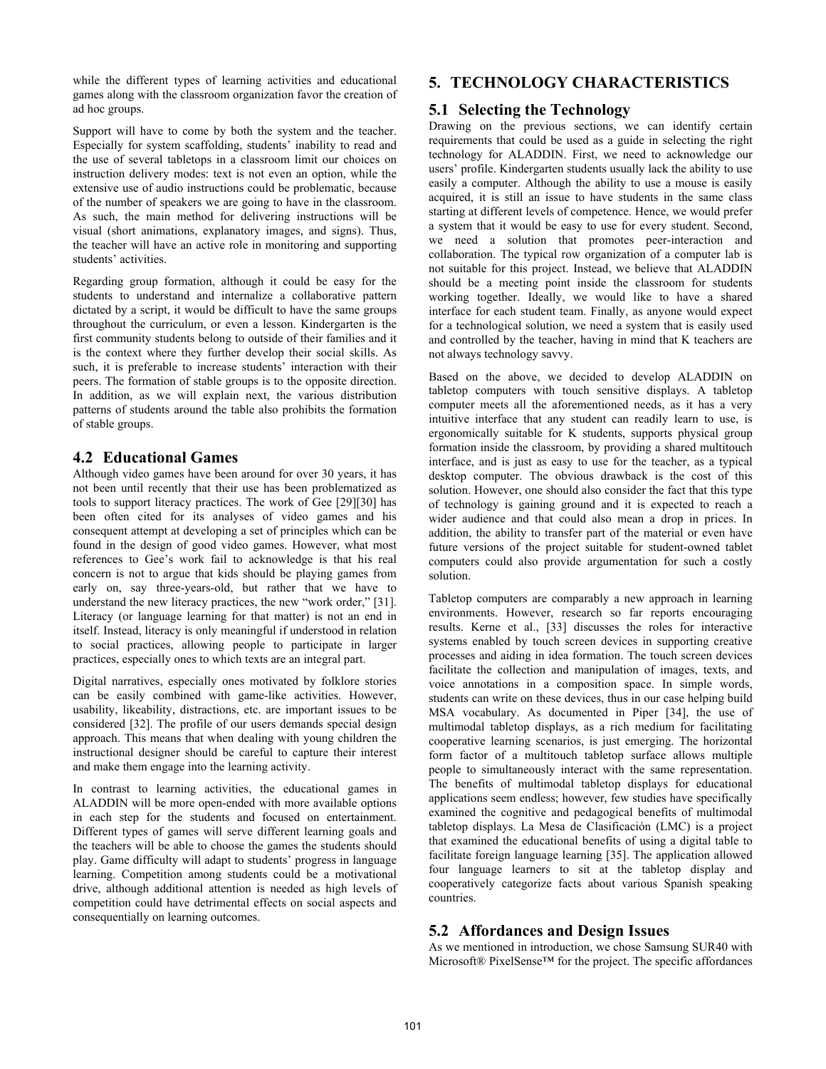while the different types of learning activities and educational games along with the classroom organization favor the creation of ad hoc groups.

Support will have to come by both the system and the teacher. Especially for system scaffolding, students' inability to read and the use of several tabletops in a classroom limit our choices on instruction delivery modes: text is not even an option, while the extensive use of audio instructions could be problematic, because of the number of speakers we are going to have in the classroom. As such, the main method for delivering instructions will be visual (short animations, explanatory images, and signs). Thus, the teacher will have an active role in monitoring and supporting students' activities.

Regarding group formation, although it could be easy for the students to understand and internalize a collaborative pattern dictated by a script, it would be difficult to have the same groups throughout the curriculum, or even a lesson. Kindergarten is the first community students belong to outside of their families and it is the context where they further develop their social skills. As such, it is preferable to increase students' interaction with their peers. The formation of stable groups is to the opposite direction. In addition, as we will explain next, the various distribution patterns of students around the table also prohibits the formation of stable groups.

# **4.2 Educational Games**

Although video games have been around for over 30 years, it has not been until recently that their use has been problematized as tools to support literacy practices. The work of Gee [29][30] has been often cited for its analyses of video games and his consequent attempt at developing a set of principles which can be found in the design of good video games. However, what most references to Gee's work fail to acknowledge is that his real concern is not to argue that kids should be playing games from early on, say three-years-old, but rather that we have to understand the new literacy practices, the new "work order," [31]. Literacy (or language learning for that matter) is not an end in itself. Instead, literacy is only meaningful if understood in relation to social practices, allowing people to participate in larger practices, especially ones to which texts are an integral part.

Digital narratives, especially ones motivated by folklore stories can be easily combined with game-like activities. However, usability, likeability, distractions, etc. are important issues to be considered [32]. The profile of our users demands special design approach. This means that when dealing with young children the instructional designer should be careful to capture their interest and make them engage into the learning activity.

In contrast to learning activities, the educational games in ALADDIN will be more open-ended with more available options in each step for the students and focused on entertainment. Different types of games will serve different learning goals and the teachers will be able to choose the games the students should play. Game difficulty will adapt to students' progress in language learning. Competition among students could be a motivational drive, although additional attention is needed as high levels of competition could have detrimental effects on social aspects and consequentially on learning outcomes.

# **5. TECHNOLOGY CHARACTERISTICS**

# **5.1 Selecting the Technology**

Drawing on the previous sections, we can identify certain requirements that could be used as a guide in selecting the right technology for ALADDIN. First, we need to acknowledge our users' profile. Kindergarten students usually lack the ability to use easily a computer. Although the ability to use a mouse is easily acquired, it is still an issue to have students in the same class starting at different levels of competence. Hence, we would prefer a system that it would be easy to use for every student. Second, we need a solution that promotes peer-interaction and collaboration. The typical row organization of a computer lab is not suitable for this project. Instead, we believe that ALADDIN should be a meeting point inside the classroom for students working together. Ideally, we would like to have a shared interface for each student team. Finally, as anyone would expect for a technological solution, we need a system that is easily used and controlled by the teacher, having in mind that K teachers are not always technology savvy.

Based on the above, we decided to develop ALADDIN on tabletop computers with touch sensitive displays. A tabletop computer meets all the aforementioned needs, as it has a very intuitive interface that any student can readily learn to use, is ergonomically suitable for K students, supports physical group formation inside the classroom, by providing a shared multitouch interface, and is just as easy to use for the teacher, as a typical desktop computer. The obvious drawback is the cost of this solution. However, one should also consider the fact that this type of technology is gaining ground and it is expected to reach a wider audience and that could also mean a drop in prices. In addition, the ability to transfer part of the material or even have future versions of the project suitable for student-owned tablet computers could also provide argumentation for such a costly solution.

Tabletop computers are comparably a new approach in learning environments. However, research so far reports encouraging results. Kerne et al., [33] discusses the roles for interactive systems enabled by touch screen devices in supporting creative processes and aiding in idea formation. The touch screen devices facilitate the collection and manipulation of images, texts, and voice annotations in a composition space. In simple words, students can write on these devices, thus in our case helping build MSA vocabulary. As documented in Piper [34], the use of multimodal tabletop displays, as a rich medium for facilitating cooperative learning scenarios, is just emerging. The horizontal form factor of a multitouch tabletop surface allows multiple people to simultaneously interact with the same representation. The benefits of multimodal tabletop displays for educational applications seem endless; however, few studies have specifically examined the cognitive and pedagogical benefits of multimodal tabletop displays. La Mesa de Clasificación (LMC) is a project that examined the educational benefits of using a digital table to facilitate foreign language learning [35]. The application allowed four language learners to sit at the tabletop display and cooperatively categorize facts about various Spanish speaking countries.

# **5.2 Affordances and Design Issues**

As we mentioned in introduction, we chose Samsung SUR40 with Microsoft® PixelSense™ for the project. The specific affordances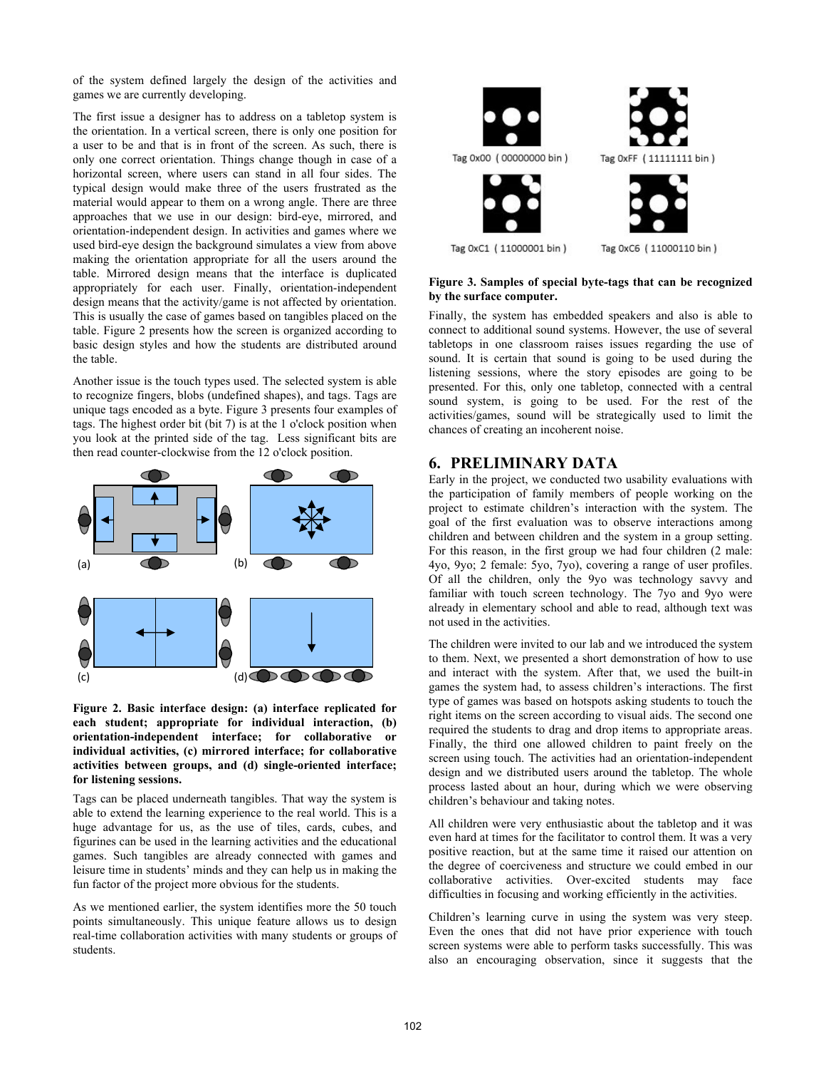of the system defined largely the design of the activities and games we are currently developing.

The first issue a designer has to address on a tabletop system is the orientation. In a vertical screen, there is only one position for a user to be and that is in front of the screen. As such, there is only one correct orientation. Things change though in case of a horizontal screen, where users can stand in all four sides. The typical design would make three of the users frustrated as the material would appear to them on a wrong angle. There are three approaches that we use in our design: bird-eye, mirrored, and orientation-independent design. In activities and games where we used bird-eye design the background simulates a view from above making the orientation appropriate for all the users around the table. Mirrored design means that the interface is duplicated appropriately for each user. Finally, orientation-independent design means that the activity/game is not affected by orientation. This is usually the case of games based on tangibles placed on the table. Figure 2 presents how the screen is organized according to basic design styles and how the students are distributed around the table.

Another issue is the touch types used. The selected system is able to recognize fingers, blobs (undefined shapes), and tags. Tags are unique tags encoded as a byte. Figure 3 presents four examples of tags. The highest order bit (bit 7) is at the 1 o'clock position when you look at the printed side of the tag. Less significant bits are then read counter-clockwise from the 12 o'clock position.



**Figure 2. Basic interface design: (a) interface replicated for each student; appropriate for individual interaction, (b) orientation-independent interface; for collaborative or individual activities, (c) mirrored interface; for collaborative activities between groups, and (d) single-oriented interface; for listening sessions.** 

Tags can be placed underneath tangibles. That way the system is able to extend the learning experience to the real world. This is a huge advantage for us, as the use of tiles, cards, cubes, and figurines can be used in the learning activities and the educational games. Such tangibles are already connected with games and leisure time in students' minds and they can help us in making the fun factor of the project more obvious for the students.

As we mentioned earlier, the system identifies more the 50 touch points simultaneously. This unique feature allows us to design real-time collaboration activities with many students or groups of students.



#### **Figure 3. Samples of special byte-tags that can be recognized by the surface computer.**

Finally, the system has embedded speakers and also is able to connect to additional sound systems. However, the use of several tabletops in one classroom raises issues regarding the use of sound. It is certain that sound is going to be used during the listening sessions, where the story episodes are going to be presented. For this, only one tabletop, connected with a central sound system, is going to be used. For the rest of the activities/games, sound will be strategically used to limit the chances of creating an incoherent noise.

## **6. PRELIMINARY DATA**

Early in the project, we conducted two usability evaluations with the participation of family members of people working on the project to estimate children's interaction with the system. The goal of the first evaluation was to observe interactions among children and between children and the system in a group setting. For this reason, in the first group we had four children (2 male: 4yo, 9yo; 2 female: 5yo, 7yo), covering a range of user profiles. Of all the children, only the 9yo was technology savvy and familiar with touch screen technology. The 7yo and 9yo were already in elementary school and able to read, although text was not used in the activities.

The children were invited to our lab and we introduced the system to them. Next, we presented a short demonstration of how to use and interact with the system. After that, we used the built-in games the system had, to assess children's interactions. The first type of games was based on hotspots asking students to touch the right items on the screen according to visual aids. The second one required the students to drag and drop items to appropriate areas. Finally, the third one allowed children to paint freely on the screen using touch. The activities had an orientation-independent design and we distributed users around the tabletop. The whole process lasted about an hour, during which we were observing children's behaviour and taking notes.

All children were very enthusiastic about the tabletop and it was even hard at times for the facilitator to control them. It was a very positive reaction, but at the same time it raised our attention on the degree of coerciveness and structure we could embed in our collaborative activities. Over-excited students may face difficulties in focusing and working efficiently in the activities.

Children's learning curve in using the system was very steep. Even the ones that did not have prior experience with touch screen systems were able to perform tasks successfully. This was also an encouraging observation, since it suggests that the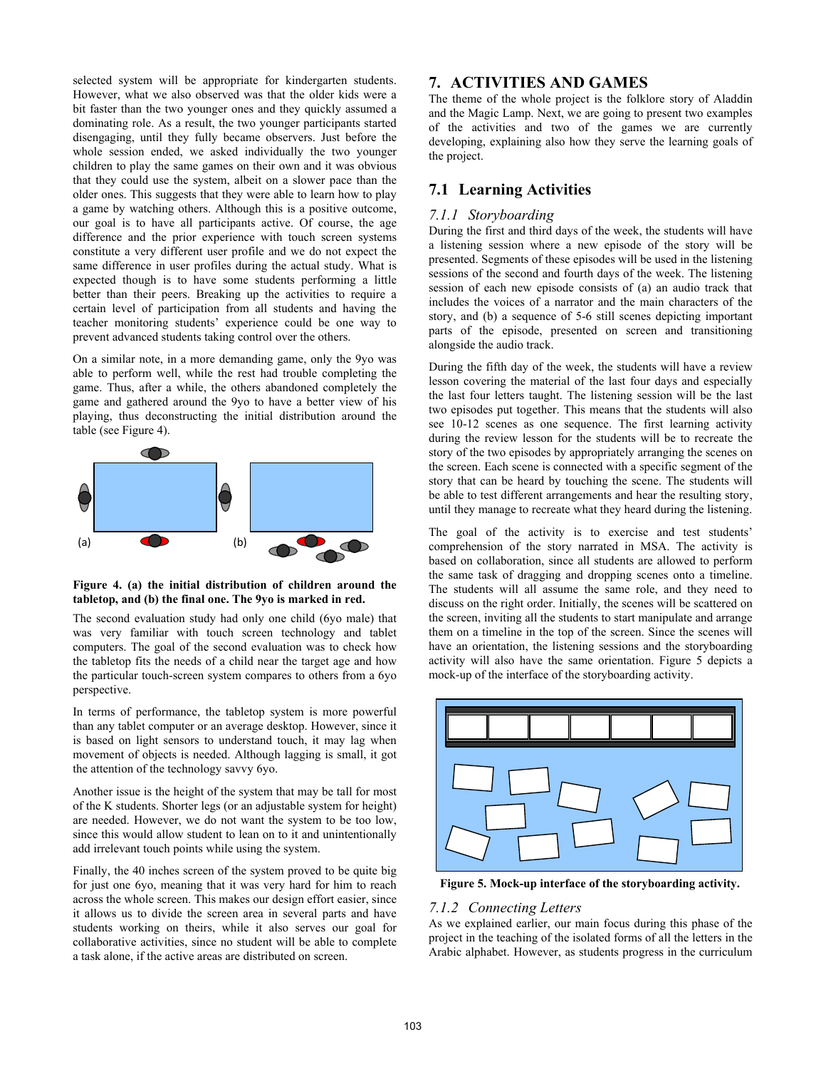selected system will be appropriate for kindergarten students. However, what we also observed was that the older kids were a bit faster than the two younger ones and they quickly assumed a dominating role. As a result, the two younger participants started disengaging, until they fully became observers. Just before the whole session ended, we asked individually the two younger children to play the same games on their own and it was obvious that they could use the system, albeit on a slower pace than the older ones. This suggests that they were able to learn how to play a game by watching others. Although this is a positive outcome, our goal is to have all participants active. Of course, the age difference and the prior experience with touch screen systems constitute a very different user profile and we do not expect the same difference in user profiles during the actual study. What is expected though is to have some students performing a little better than their peers. Breaking up the activities to require a certain level of participation from all students and having the teacher monitoring students' experience could be one way to prevent advanced students taking control over the others.

On a similar note, in a more demanding game, only the 9yo was able to perform well, while the rest had trouble completing the game. Thus, after a while, the others abandoned completely the game and gathered around the 9yo to have a better view of his playing, thus deconstructing the initial distribution around the table (see Figure 4).



**Figure 4. (a) the initial distribution of children around the tabletop, and (b) the final one. The 9yo is marked in red.** 

The second evaluation study had only one child (6yo male) that was very familiar with touch screen technology and tablet computers. The goal of the second evaluation was to check how the tabletop fits the needs of a child near the target age and how the particular touch-screen system compares to others from a 6yo perspective.

In terms of performance, the tabletop system is more powerful than any tablet computer or an average desktop. However, since it is based on light sensors to understand touch, it may lag when movement of objects is needed. Although lagging is small, it got the attention of the technology savvy 6yo.

Another issue is the height of the system that may be tall for most of the K students. Shorter legs (or an adjustable system for height) are needed. However, we do not want the system to be too low, since this would allow student to lean on to it and unintentionally add irrelevant touch points while using the system.

Finally, the 40 inches screen of the system proved to be quite big for just one 6yo, meaning that it was very hard for him to reach across the whole screen. This makes our design effort easier, since it allows us to divide the screen area in several parts and have students working on theirs, while it also serves our goal for collaborative activities, since no student will be able to complete a task alone, if the active areas are distributed on screen.

## **7. ACTIVITIES AND GAMES**

The theme of the whole project is the folklore story of Aladdin and the Magic Lamp. Next, we are going to present two examples of the activities and two of the games we are currently developing, explaining also how they serve the learning goals of the project.

## **7.1 Learning Activities**

#### *7.1.1 Storyboarding*

During the first and third days of the week, the students will have a listening session where a new episode of the story will be presented. Segments of these episodes will be used in the listening sessions of the second and fourth days of the week. The listening session of each new episode consists of (a) an audio track that includes the voices of a narrator and the main characters of the story, and (b) a sequence of 5-6 still scenes depicting important parts of the episode, presented on screen and transitioning alongside the audio track.

During the fifth day of the week, the students will have a review lesson covering the material of the last four days and especially the last four letters taught. The listening session will be the last two episodes put together. This means that the students will also see 10-12 scenes as one sequence. The first learning activity during the review lesson for the students will be to recreate the story of the two episodes by appropriately arranging the scenes on the screen. Each scene is connected with a specific segment of the story that can be heard by touching the scene. The students will be able to test different arrangements and hear the resulting story, until they manage to recreate what they heard during the listening.

The goal of the activity is to exercise and test students' comprehension of the story narrated in MSA. The activity is based on collaboration, since all students are allowed to perform the same task of dragging and dropping scenes onto a timeline. The students will all assume the same role, and they need to discuss on the right order. Initially, the scenes will be scattered on the screen, inviting all the students to start manipulate and arrange them on a timeline in the top of the screen. Since the scenes will have an orientation, the listening sessions and the storyboarding activity will also have the same orientation. Figure 5 depicts a mock-up of the interface of the storyboarding activity.



**Figure 5. Mock-up interface of the storyboarding activity.** 

#### *7.1.2 Connecting Letters*

As we explained earlier, our main focus during this phase of the project in the teaching of the isolated forms of all the letters in the Arabic alphabet. However, as students progress in the curriculum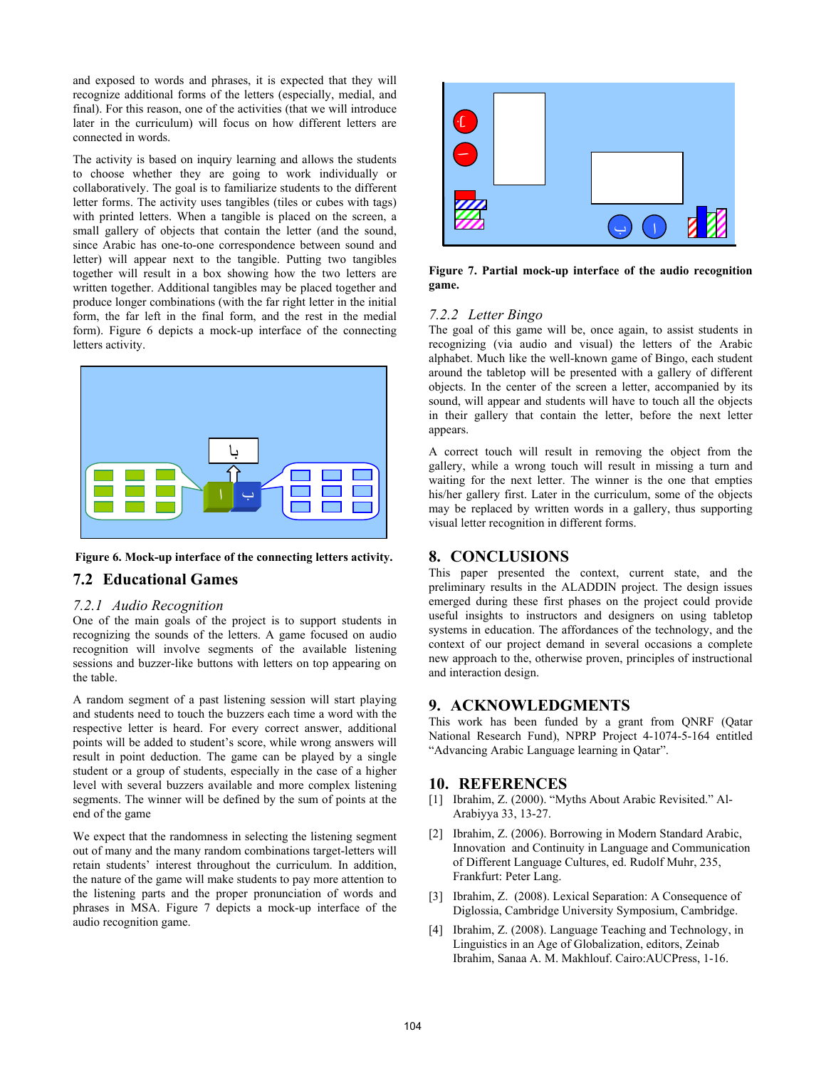and exposed to words and phrases, it is expected that they will recognize additional forms of the letters (especially, medial, and final). For this reason, one of the activities (that we will introduce later in the curriculum) will focus on how different letters are connected in words.

The activity is based on inquiry learning and allows the students to choose whether they are going to work individually or collaboratively. The goal is to familiarize students to the different letter forms. The activity uses tangibles (tiles or cubes with tags) with printed letters. When a tangible is placed on the screen, a small gallery of objects that contain the letter (and the sound, since Arabic has one-to-one correspondence between sound and letter) will appear next to the tangible. Putting two tangibles together will result in a box showing how the two letters are written together. Additional tangibles may be placed together and produce longer combinations (with the far right letter in the initial form, the far left in the final form, and the rest in the medial form). Figure 6 depicts a mock-up interface of the connecting letters activity.



#### **Figure 6. Mock-up interface of the connecting letters activity.**

# **7.2 Educational Games**

#### *7.2.1 Audio Recognition*

One of the main goals of the project is to support students in recognizing the sounds of the letters. A game focused on audio recognition will involve segments of the available listening sessions and buzzer-like buttons with letters on top appearing on the table.

A random segment of a past listening session will start playing and students need to touch the buzzers each time a word with the respective letter is heard. For every correct answer, additional points will be added to student's score, while wrong answers will result in point deduction. The game can be played by a single student or a group of students, especially in the case of a higher level with several buzzers available and more complex listening segments. The winner will be defined by the sum of points at the end of the game

We expect that the randomness in selecting the listening segment out of many and the many random combinations target-letters will retain students' interest throughout the curriculum. In addition, the nature of the game will make students to pay more attention to the listening parts and the proper pronunciation of words and phrases in MSA. Figure 7 depicts a mock-up interface of the audio recognition game.



**Figure 7. Partial mock-up interface of the audio recognition game.** 

#### *7.2.2 Letter Bingo*

The goal of this game will be, once again, to assist students in recognizing (via audio and visual) the letters of the Arabic alphabet. Much like the well-known game of Bingo, each student around the tabletop will be presented with a gallery of different objects. In the center of the screen a letter, accompanied by its sound, will appear and students will have to touch all the objects in their gallery that contain the letter, before the next letter appears.

A correct touch will result in removing the object from the gallery, while a wrong touch will result in missing a turn and waiting for the next letter. The winner is the one that empties his/her gallery first. Later in the curriculum, some of the objects may be replaced by written words in a gallery, thus supporting visual letter recognition in different forms.

## **8. CONCLUSIONS**

This paper presented the context, current state, and the preliminary results in the ALADDIN project. The design issues emerged during these first phases on the project could provide useful insights to instructors and designers on using tabletop systems in education. The affordances of the technology, and the context of our project demand in several occasions a complete new approach to the, otherwise proven, principles of instructional and interaction design.

# **9. ACKNOWLEDGMENTS**

This work has been funded by a grant from QNRF (Qatar National Research Fund), NPRP Project 4-1074-5-164 entitled "Advancing Arabic Language learning in Qatar".

## **10. REFERENCES**

- [1] Ibrahim, Z. (2000). "Myths About Arabic Revisited." Al-Arabiyya 33, 13-27.
- [2] Ibrahim, Z. (2006). Borrowing in Modern Standard Arabic, Innovation and Continuity in Language and Communication of Different Language Cultures, ed. Rudolf Muhr, 235, Frankfurt: Peter Lang.
- [3] Ibrahim, Z. (2008). Lexical Separation: A Consequence of Diglossia, Cambridge University Symposium, Cambridge.
- [4] Ibrahim, Z. (2008). Language Teaching and Technology, in Linguistics in an Age of Globalization, editors, Zeinab Ibrahim, Sanaa A. M. Makhlouf. Cairo:AUCPress, 1-16.